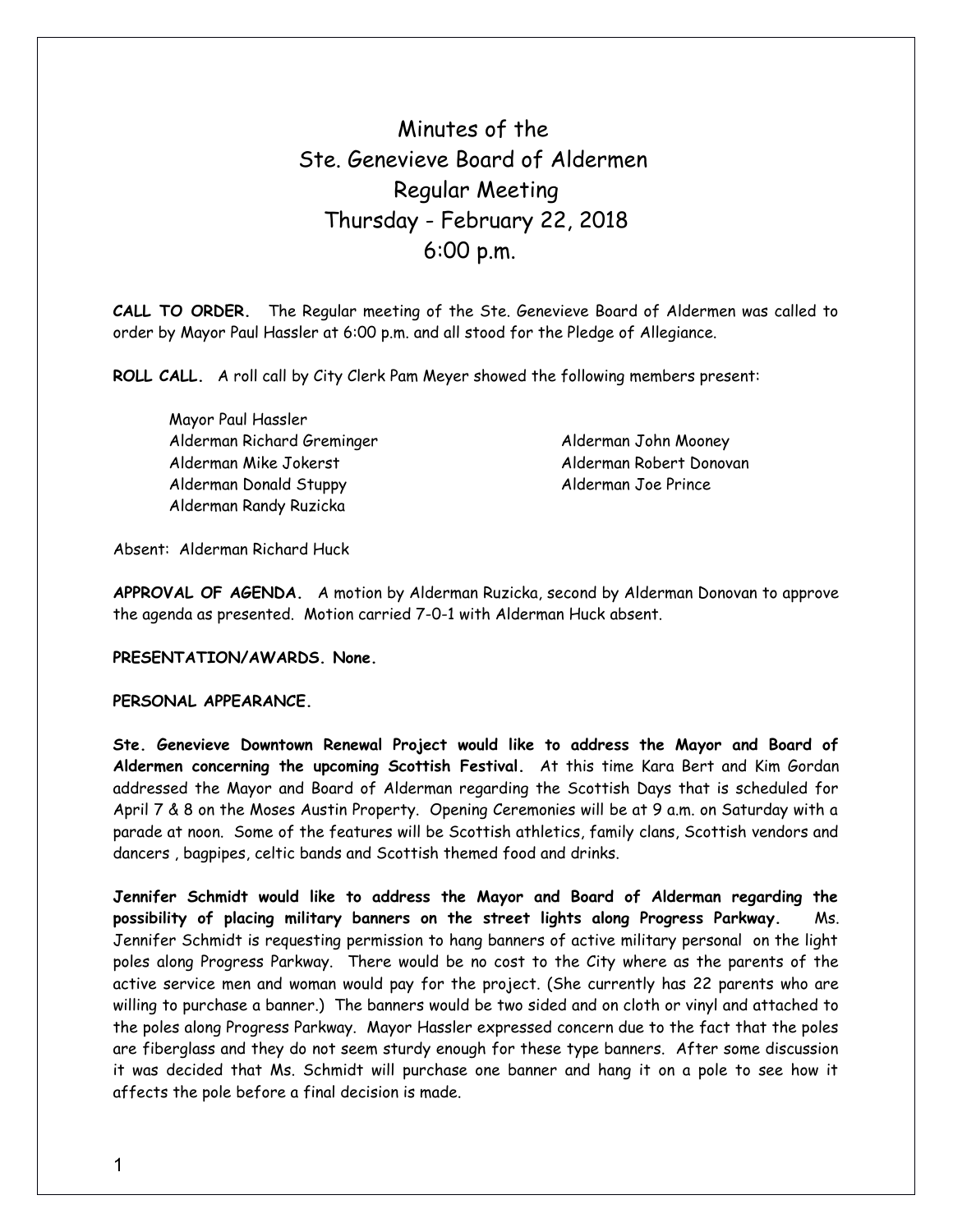# Minutes of the Ste. Genevieve Board of Aldermen Regular Meeting Thursday - February 22, 2018 6:00 p.m.

**CALL TO ORDER.** The Regular meeting of the Ste. Genevieve Board of Aldermen was called to order by Mayor Paul Hassler at 6:00 p.m. and all stood for the Pledge of Allegiance.

**ROLL CALL.** A roll call by City Clerk Pam Meyer showed the following members present:

Mayor Paul Hassler Alderman Richard Greminger Alderman John Mooney Alderman Mike Jokerst **Alderman Robert Donovan** Alderman Donald Stuppy and Alderman Joe Prince Alderman Randy Ruzicka

Absent: Alderman Richard Huck

**APPROVAL OF AGENDA.** A motion by Alderman Ruzicka, second by Alderman Donovan to approve the agenda as presented. Motion carried 7-0-1 with Alderman Huck absent.

**PRESENTATION/AWARDS. None.** 

## **PERSONAL APPEARANCE.**

**Ste. Genevieve Downtown Renewal Project would like to address the Mayor and Board of Aldermen concerning the upcoming Scottish Festival.** At this time Kara Bert and Kim Gordan addressed the Mayor and Board of Alderman regarding the Scottish Days that is scheduled for April 7 & 8 on the Moses Austin Property. Opening Ceremonies will be at 9 a.m. on Saturday with a parade at noon. Some of the features will be Scottish athletics, family clans, Scottish vendors and dancers , bagpipes, celtic bands and Scottish themed food and drinks.

**Jennifer Schmidt would like to address the Mayor and Board of Alderman regarding the possibility of placing military banners on the street lights along Progress Parkway.** Ms. Jennifer Schmidt is requesting permission to hang banners of active military personal on the light poles along Progress Parkway. There would be no cost to the City where as the parents of the active service men and woman would pay for the project. (She currently has 22 parents who are willing to purchase a banner.) The banners would be two sided and on cloth or vinyl and attached to the poles along Progress Parkway. Mayor Hassler expressed concern due to the fact that the poles are fiberglass and they do not seem sturdy enough for these type banners. After some discussion it was decided that Ms. Schmidt will purchase one banner and hang it on a pole to see how it affects the pole before a final decision is made.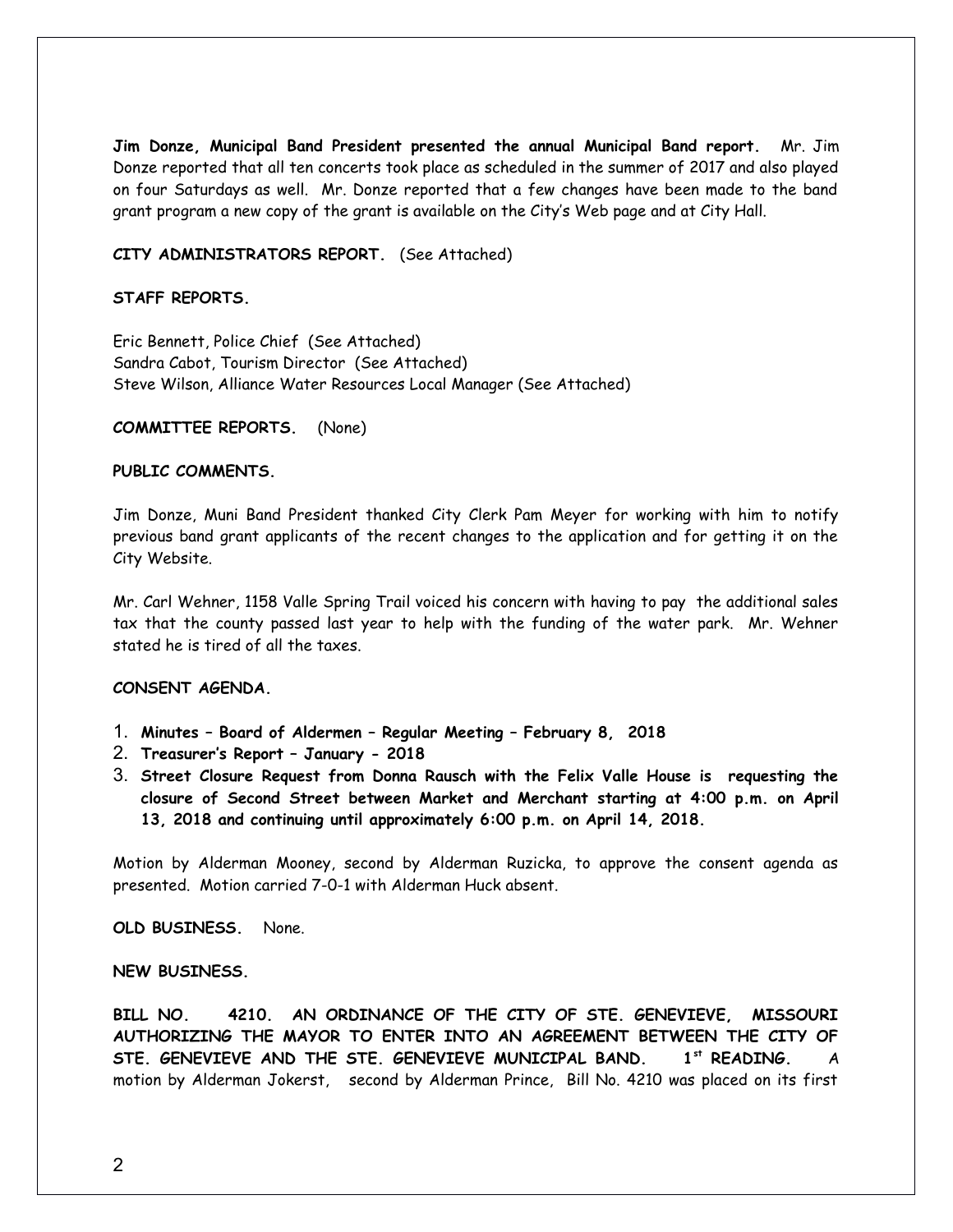**Jim Donze, Municipal Band President presented the annual Municipal Band report.** Mr. Jim Donze reported that all ten concerts took place as scheduled in the summer of 2017 and also played on four Saturdays as well. Mr. Donze reported that a few changes have been made to the band grant program a new copy of the grant is available on the City's Web page and at City Hall.

#### **CITY ADMINISTRATORS REPORT.** (See Attached)

#### **STAFF REPORTS.**

Eric Bennett, Police Chief (See Attached) Sandra Cabot, Tourism Director (See Attached) Steve Wilson, Alliance Water Resources Local Manager (See Attached)

**COMMITTEE REPORTS.** (None)

## **PUBLIC COMMENTS.**

Jim Donze, Muni Band President thanked City Clerk Pam Meyer for working with him to notify previous band grant applicants of the recent changes to the application and for getting it on the City Website.

Mr. Carl Wehner, 1158 Valle Spring Trail voiced his concern with having to pay the additional sales tax that the county passed last year to help with the funding of the water park. Mr. Wehner stated he is tired of all the taxes.

### **CONSENT AGENDA.**

- 1. **Minutes Board of Aldermen Regular Meeting February 8, 2018**
- 2. **Treasurer's Report January 2018**
- 3. **Street Closure Request from Donna Rausch with the Felix Valle House is requesting the closure of Second Street between Market and Merchant starting at 4:00 p.m. on April 13, 2018 and continuing until approximately 6:00 p.m. on April 14, 2018.**

Motion by Alderman Mooney, second by Alderman Ruzicka, to approve the consent agenda as presented. Motion carried 7-0-1 with Alderman Huck absent.

**OLD BUSINESS.** None.

#### **NEW BUSINESS.**

**BILL NO. 4210. AN ORDINANCE OF THE CITY OF STE. GENEVIEVE, MISSOURI AUTHORIZING THE MAYOR TO ENTER INTO AN AGREEMENT BETWEEN THE CITY OF STE. GENEVIEVE AND THE STE. GENEVIEVE MUNICIPAL BAND. 1st READING.** A motion by Alderman Jokerst, second by Alderman Prince, Bill No. 4210 was placed on its first